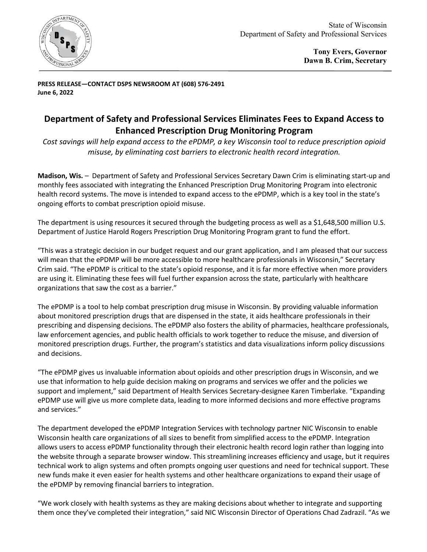

**PRESS RELEASE—CONTACT DSPS NEWSROOM AT (608) 576-2491 June 6, 2022** 

## **Department of Safety and Professional Services Eliminates Fees to Expand Access to Enhanced Prescription Drug Monitoring Program**

*Cost savings will help expand access to the ePDMP, a key Wisconsin tool to reduce prescription opioid misuse, by eliminating cost barriers to electronic health record integration.*

**Madison, Wis.** – Department of Safety and Professional Services Secretary Dawn Crim is eliminating start-up and monthly fees associated with integrating the Enhanced Prescription Drug Monitoring Program into electronic health record systems. The move is intended to expand access to the ePDMP, which is a key tool in the state's ongoing efforts to combat prescription opioid misuse.

The department is using resources it secured through the budgeting process as well as a \$1,648,500 million [U.S.](https://bja.ojp.gov/funding/opportunities/o-bja-2022-171290)  [Department of Justice Harold Rogers Prescription Drug Monitoring Program](https://bja.ojp.gov/funding/opportunities/o-bja-2022-171290) grant to fund the effort.

"This was a strategic decision in our budget request and our grant application, and I am pleased that our success will mean that the ePDMP will be more accessible to more healthcare professionals in Wisconsin," Secretary Crim said. "The ePDMP is critical to the state's opioid response, and it is far more effective when more providers are using it. Eliminating these fees will fuel further expansion across the state, particularly with healthcare organizations that saw the cost as a barrier."

The ePDMP is a tool to help combat prescription drug misuse in Wisconsin. By providing valuable information about monitored prescription drugs that are dispensed in the state, it aids healthcare professionals in their prescribing and dispensing decisions. The ePDMP also fosters the ability of pharmacies, healthcare professionals, law enforcement agencies, and public health officials to work together to reduce the misuse, and diversion of monitored prescription drugs. Further, the program's statistics and data visualizations inform policy discussions and decisions.

"The ePDMP gives us invaluable information about opioids and other prescription drugs in Wisconsin, and we use that information to help guide decision making on programs and services we offer and the policies we support and implement," said Department of Health Services Secretary-designee Karen Timberlake. "Expanding ePDMP use will give us more complete data, leading to more informed decisions and more effective programs and services."

The department developed the ePDMP Integration Services with technology partner NIC Wisconsin to enable Wisconsin health care organizations of all sizes to benefit from simplified access to the ePDMP. Integration allows users to access ePDMP functionality through their electronic health record login rather than logging into the website through a separate browser window. This streamlining increases efficiency and usage, but it requires technical work to align systems and often prompts ongoing user questions and need for technical support. These new funds make it even easier for health systems and other healthcare organizations to expand their usage of the ePDMP by removing financial barriers to integration.

"We work closely with health systems as they are making decisions about whether to integrate and supporting them once they've completed their integration," said NIC Wisconsin Director of Operations Chad Zadrazil. "As we